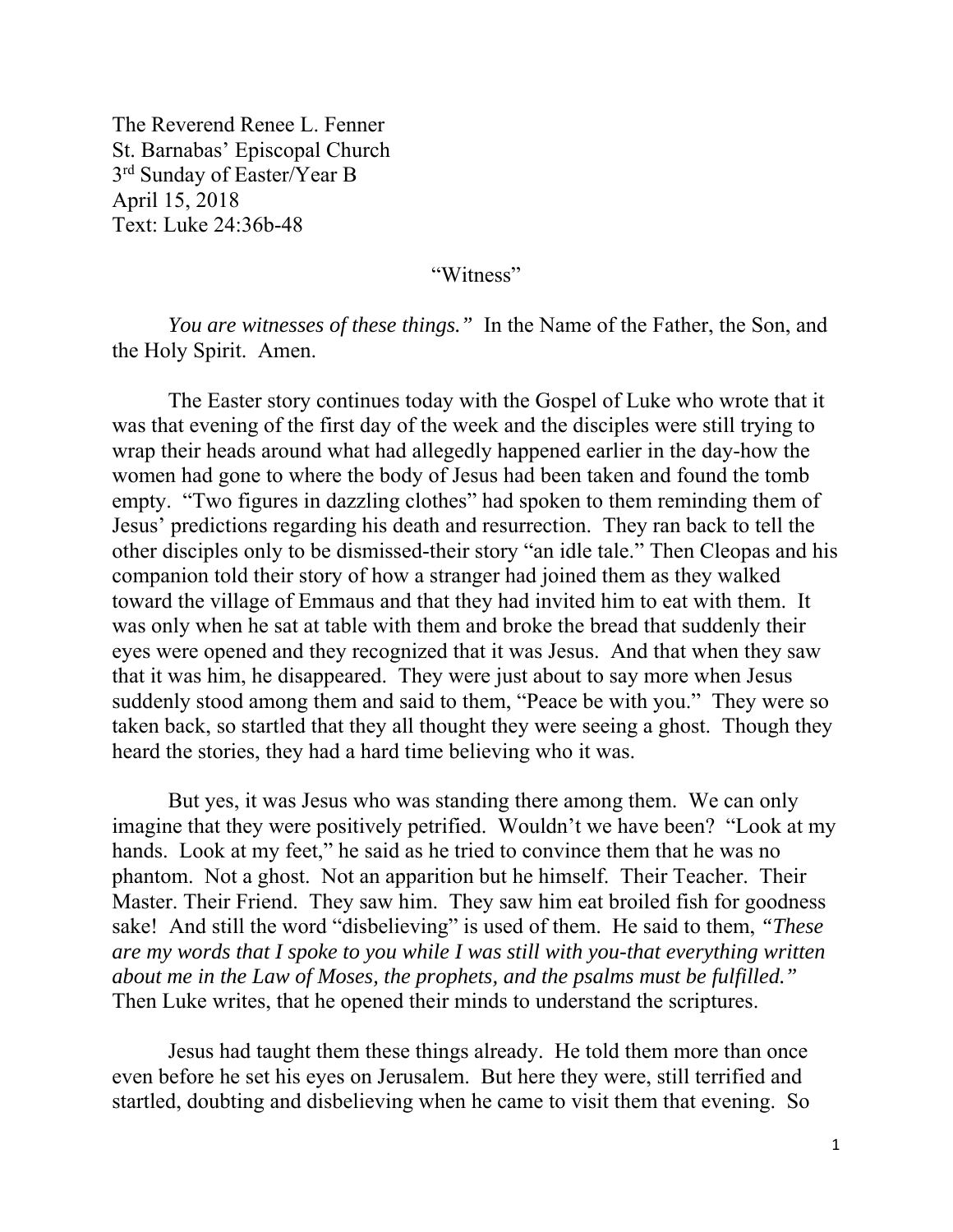The Reverend Renee L. Fenner St. Barnabas' Episcopal Church 3rd Sunday of Easter/Year B April 15, 2018 Text: Luke 24:36b-48

"Witness"

*You are witnesses of these things."* In the Name of the Father, the Son, and the Holy Spirit. Amen.

 The Easter story continues today with the Gospel of Luke who wrote that it was that evening of the first day of the week and the disciples were still trying to wrap their heads around what had allegedly happened earlier in the day-how the women had gone to where the body of Jesus had been taken and found the tomb empty. "Two figures in dazzling clothes" had spoken to them reminding them of Jesus' predictions regarding his death and resurrection. They ran back to tell the other disciples only to be dismissed-their story "an idle tale." Then Cleopas and his companion told their story of how a stranger had joined them as they walked toward the village of Emmaus and that they had invited him to eat with them. It was only when he sat at table with them and broke the bread that suddenly their eyes were opened and they recognized that it was Jesus. And that when they saw that it was him, he disappeared. They were just about to say more when Jesus suddenly stood among them and said to them, "Peace be with you." They were so taken back, so startled that they all thought they were seeing a ghost. Though they heard the stories, they had a hard time believing who it was.

 But yes, it was Jesus who was standing there among them. We can only imagine that they were positively petrified. Wouldn't we have been? "Look at my hands. Look at my feet," he said as he tried to convince them that he was no phantom. Not a ghost. Not an apparition but he himself. Their Teacher. Their Master. Their Friend. They saw him. They saw him eat broiled fish for goodness sake! And still the word "disbelieving" is used of them. He said to them, *"These are my words that I spoke to you while I was still with you-that everything written about me in the Law of Moses, the prophets, and the psalms must be fulfilled."* Then Luke writes, that he opened their minds to understand the scriptures.

 Jesus had taught them these things already. He told them more than once even before he set his eyes on Jerusalem. But here they were, still terrified and startled, doubting and disbelieving when he came to visit them that evening. So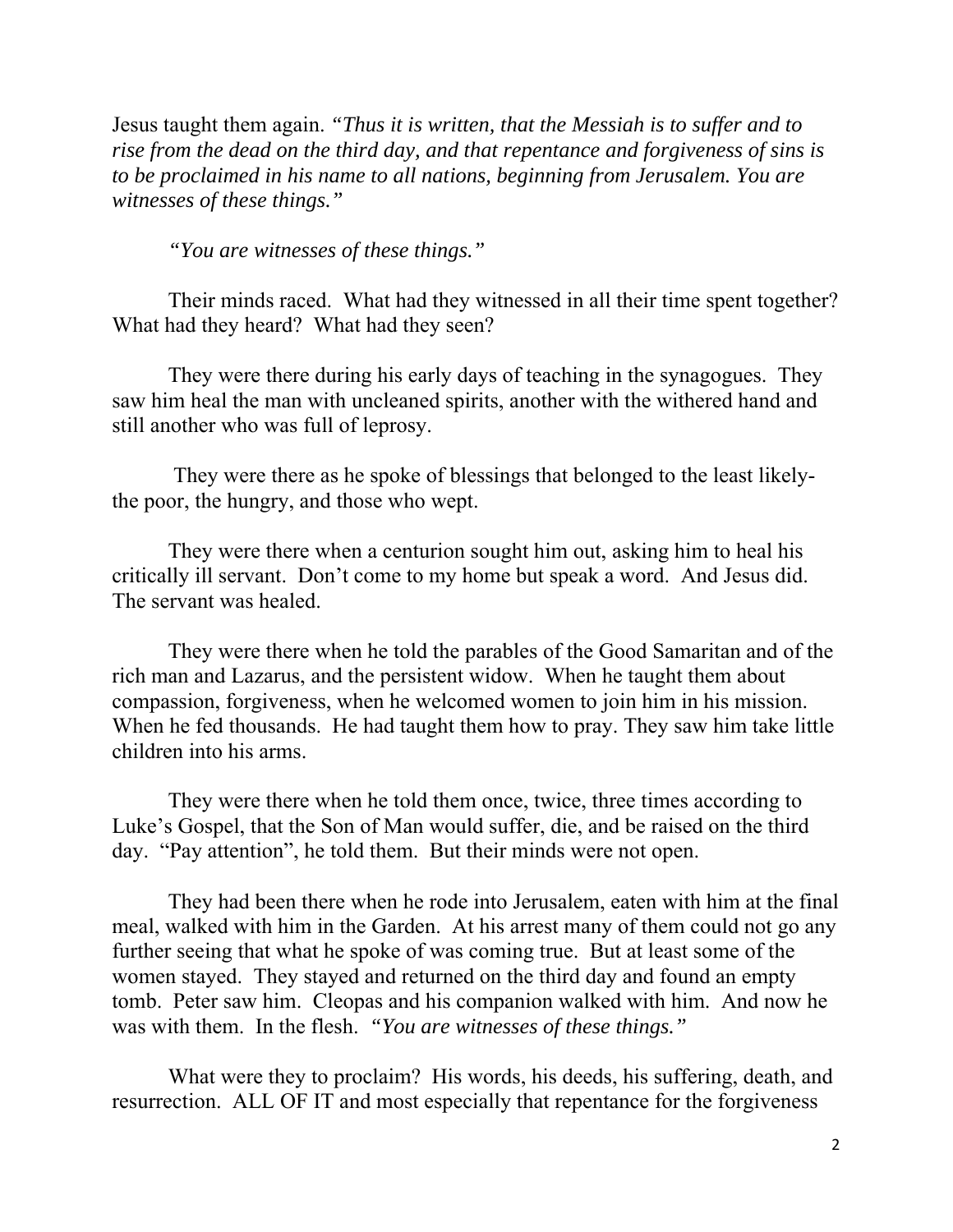Jesus taught them again. *"Thus it is written, that the Messiah is to suffer and to rise from the dead on the third day, and that repentance and forgiveness of sins is to be proclaimed in his name to all nations, beginning from Jerusalem. You are witnesses of these things."* 

*"You are witnesses of these things."* 

Their minds raced. What had they witnessed in all their time spent together? What had they heard? What had they seen?

 They were there during his early days of teaching in the synagogues. They saw him heal the man with uncleaned spirits, another with the withered hand and still another who was full of leprosy.

 They were there as he spoke of blessings that belonged to the least likelythe poor, the hungry, and those who wept.

 They were there when a centurion sought him out, asking him to heal his critically ill servant. Don't come to my home but speak a word. And Jesus did. The servant was healed.

 They were there when he told the parables of the Good Samaritan and of the rich man and Lazarus, and the persistent widow. When he taught them about compassion, forgiveness, when he welcomed women to join him in his mission. When he fed thousands. He had taught them how to pray. They saw him take little children into his arms.

 They were there when he told them once, twice, three times according to Luke's Gospel, that the Son of Man would suffer, die, and be raised on the third day. "Pay attention", he told them. But their minds were not open.

 They had been there when he rode into Jerusalem, eaten with him at the final meal, walked with him in the Garden. At his arrest many of them could not go any further seeing that what he spoke of was coming true. But at least some of the women stayed. They stayed and returned on the third day and found an empty tomb. Peter saw him. Cleopas and his companion walked with him. And now he was with them. In the flesh. *"You are witnesses of these things."* 

What were they to proclaim? His words, his deeds, his suffering, death, and resurrection. ALL OF IT and most especially that repentance for the forgiveness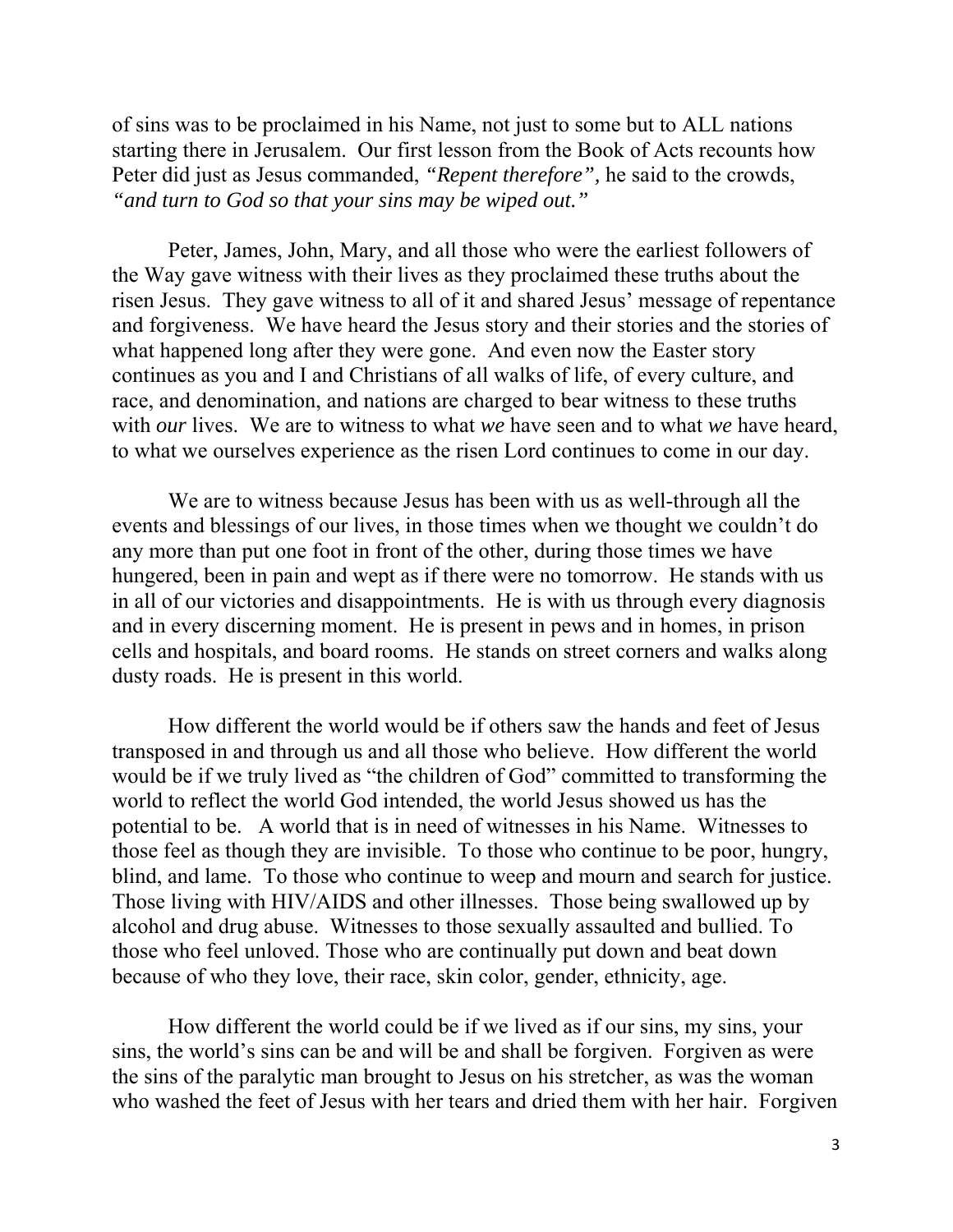of sins was to be proclaimed in his Name, not just to some but to ALL nations starting there in Jerusalem. Our first lesson from the Book of Acts recounts how Peter did just as Jesus commanded, *"Repent therefore",* he said to the crowds, *"and turn to God so that your sins may be wiped out."* 

 Peter, James, John, Mary, and all those who were the earliest followers of the Way gave witness with their lives as they proclaimed these truths about the risen Jesus. They gave witness to all of it and shared Jesus' message of repentance and forgiveness. We have heard the Jesus story and their stories and the stories of what happened long after they were gone. And even now the Easter story continues as you and I and Christians of all walks of life, of every culture, and race, and denomination, and nations are charged to bear witness to these truths with *our* lives. We are to witness to what *we* have seen and to what *we* have heard, to what we ourselves experience as the risen Lord continues to come in our day.

 We are to witness because Jesus has been with us as well-through all the events and blessings of our lives, in those times when we thought we couldn't do any more than put one foot in front of the other, during those times we have hungered, been in pain and wept as if there were no tomorrow. He stands with us in all of our victories and disappointments. He is with us through every diagnosis and in every discerning moment. He is present in pews and in homes, in prison cells and hospitals, and board rooms. He stands on street corners and walks along dusty roads. He is present in this world.

How different the world would be if others saw the hands and feet of Jesus transposed in and through us and all those who believe. How different the world would be if we truly lived as "the children of God" committed to transforming the world to reflect the world God intended, the world Jesus showed us has the potential to be. A world that is in need of witnesses in his Name. Witnesses to those feel as though they are invisible. To those who continue to be poor, hungry, blind, and lame. To those who continue to weep and mourn and search for justice. Those living with HIV/AIDS and other illnesses. Those being swallowed up by alcohol and drug abuse. Witnesses to those sexually assaulted and bullied. To those who feel unloved. Those who are continually put down and beat down because of who they love, their race, skin color, gender, ethnicity, age.

 How different the world could be if we lived as if our sins, my sins, your sins, the world's sins can be and will be and shall be forgiven. Forgiven as were the sins of the paralytic man brought to Jesus on his stretcher, as was the woman who washed the feet of Jesus with her tears and dried them with her hair. Forgiven